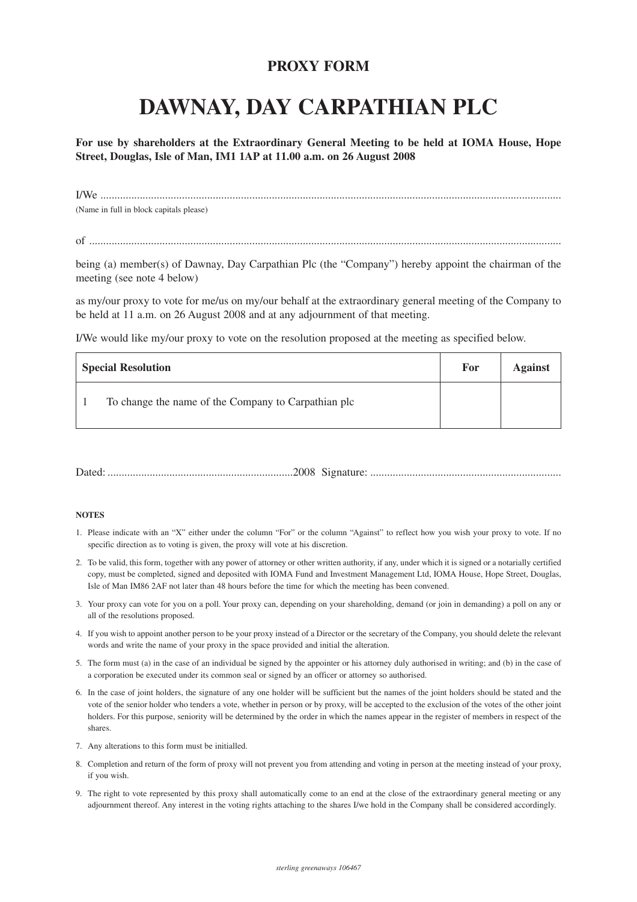## **PROXY FORM**

## **DAWNAY, DAY CARPATHIAN PLC**

**For use by shareholders at the Extraordinary General Meeting to be held at IOMA House, Hope Street, Douglas, Isle of Man, IM1 1AP at 11.00 a.m. on 26 August 2008**

I/We .................................................................................................................................................................... (Name in full in block capitals please)

of ........................................................................................................................................................................

being (a) member(s) of Dawnay, Day Carpathian Plc (the "Company") hereby appoint the chairman of the meeting (see note 4 below)

as my/our proxy to vote for me/us on my/our behalf at the extraordinary general meeting of the Company to be held at 11 a.m. on 26 August 2008 and at any adjournment of that meeting.

I/We would like my/our proxy to vote on the resolution proposed at the meeting as specified below.

| <b>Special Resolution</b>                           | For | <b>Against</b> |
|-----------------------------------------------------|-----|----------------|
| To change the name of the Company to Carpathian plc |     |                |

## **NOTES**

- 1. Please indicate with an "X" either under the column "For" or the column "Against" to reflect how you wish your proxy to vote. If no specific direction as to voting is given, the proxy will vote at his discretion.
- 2. To be valid, this form, together with any power of attorney or other written authority, if any, under which it is signed or a notarially certified copy, must be completed, signed and deposited with IOMA Fund and Investment Management Ltd, IOMA House, Hope Street, Douglas, Isle of Man IM86 2AF not later than 48 hours before the time for which the meeting has been convened.
- 3. Your proxy can vote for you on a poll. Your proxy can, depending on your shareholding, demand (or join in demanding) a poll on any or all of the resolutions proposed.
- 4. If you wish to appoint another person to be your proxy instead of a Director or the secretary of the Company, you should delete the relevant words and write the name of your proxy in the space provided and initial the alteration.
- 5. The form must (a) in the case of an individual be signed by the appointer or his attorney duly authorised in writing; and (b) in the case of a corporation be executed under its common seal or signed by an officer or attorney so authorised.
- 6. In the case of joint holders, the signature of any one holder will be sufficient but the names of the joint holders should be stated and the vote of the senior holder who tenders a vote, whether in person or by proxy, will be accepted to the exclusion of the votes of the other joint holders. For this purpose, seniority will be determined by the order in which the names appear in the register of members in respect of the shares.
- 7. Any alterations to this form must be initialled.
- 8. Completion and return of the form of proxy will not prevent you from attending and voting in person at the meeting instead of your proxy, if you wish.
- 9. The right to vote represented by this proxy shall automatically come to an end at the close of the extraordinary general meeting or any adjournment thereof. Any interest in the voting rights attaching to the shares I/we hold in the Company shall be considered accordingly.